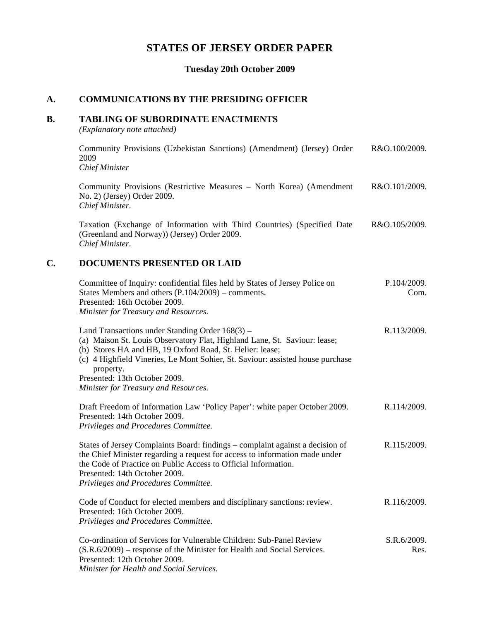# **STATES OF JERSEY ORDER PAPER**

**Tuesday 20th October 2009**

### **A. COMMUNICATIONS BY THE PRESIDING OFFICER**

### **B. TABLING OF SUBORDINATE ENACTMENTS**

*(Explanatory note attached)*

Community Provisions (Uzbekistan Sanctions) (Amendment) (Jersey) Order 2009 *Chief Minister* R&O.100/2009. Community Provisions (Restrictive Measures – North Korea) (Amendment No. 2) (Jersey) Order 2009. *Chief Minister.* R&O.101/2009. Taxation (Exchange of Information with Third Countries) (Specified Date (Greenland and Norway)) (Jersey) Order 2009. *Chief Minister.* R&O.105/2009. **C. DOCUMENTS PRESENTED OR LAID** Committee of Inquiry: confidential files held by States of Jersey Police on States Members and others (P.104/2009) – comments. Presented: 16th October 2009. *Minister for Treasury and Resources.* P.104/2009. Com. Land Transactions under Standing Order 168(3) – R.113/2009.

(a) Maison St. Louis Observatory Flat, Highland Lane, St. Saviour: lease; (b) Stores HA and HB, 19 Oxford Road, St. Helier: lease; (c) 4 Highfield Vineries, Le Mont Sohier, St. Saviour: assisted house purchase property. Presented: 13th October 2009. *Minister for Treasury and Resources.* Draft Freedom of Information Law 'Policy Paper': white paper October 2009. Presented: 14th October 2009. *Privileges and Procedures Committee.* R.114/2009. States of Jersey Complaints Board: findings – complaint against a decision of R.115/2009.

the Chief Minister regarding a request for access to information made under the Code of Practice on Public Access to Official Information. Presented: 14th October 2009. *Privileges and Procedures Committee.*

Code of Conduct for elected members and disciplinary sanctions: review. Presented: 16th October 2009. *Privileges and Procedures Committee.* R.116/2009.

Co-ordination of Services for Vulnerable Children: Sub-Panel Review (S.R.6/2009) – response of the Minister for Health and Social Services. Presented: 12th October 2009. *Minister for Health and Social Services.* S.R.6/2009. Res.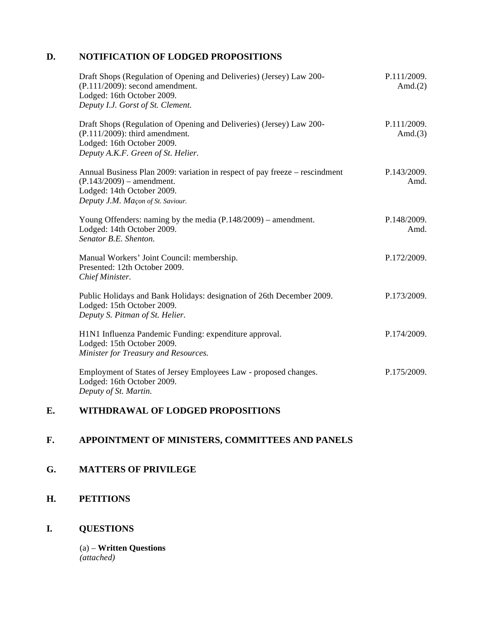## **D. NOTIFICATION OF LODGED PROPOSITIONS**

| Draft Shops (Regulation of Opening and Deliveries) (Jersey) Law 200-<br>$(P.111/2009)$ : second amendment.<br>Lodged: 16th October 2009.<br>Deputy I.J. Gorst of St. Clement. | P.111/2009.<br>Amd. $(2)$ |
|-------------------------------------------------------------------------------------------------------------------------------------------------------------------------------|---------------------------|
| Draft Shops (Regulation of Opening and Deliveries) (Jersey) Law 200-<br>(P.111/2009): third amendment.<br>Lodged: 16th October 2009.<br>Deputy A.K.F. Green of St. Helier.    | P.111/2009.<br>Amd. $(3)$ |
| Annual Business Plan 2009: variation in respect of pay freeze – rescindment<br>$(P.143/2009)$ – amendment.<br>Lodged: 14th October 2009.<br>Deputy J.M. Maçon of St. Saviour. | P.143/2009.<br>Amd.       |
| Young Offenders: naming by the media $(P.148/2009)$ – amendment.<br>Lodged: 14th October 2009.<br>Senator B.E. Shenton.                                                       | P.148/2009.<br>Amd.       |
| Manual Workers' Joint Council: membership.<br>Presented: 12th October 2009.<br>Chief Minister.                                                                                | P.172/2009.               |
| Public Holidays and Bank Holidays: designation of 26th December 2009.<br>Lodged: 15th October 2009.<br>Deputy S. Pitman of St. Helier.                                        | P.173/2009.               |
| H1N1 Influenza Pandemic Funding: expenditure approval.<br>Lodged: 15th October 2009.<br>Minister for Treasury and Resources.                                                  | P.174/2009.               |
| Employment of States of Jersey Employees Law - proposed changes.<br>Lodged: 16th October 2009.<br>Deputy of St. Martin.                                                       | P.175/2009.               |

# **E. WITHDRAWAL OF LODGED PROPOSITIONS**

# **F. APPOINTMENT OF MINISTERS, COMMITTEES AND PANELS**

## **G. MATTERS OF PRIVILEGE**

## **H. PETITIONS**

## **I. QUESTIONS**

(a) – **Written Questions** *(attached)*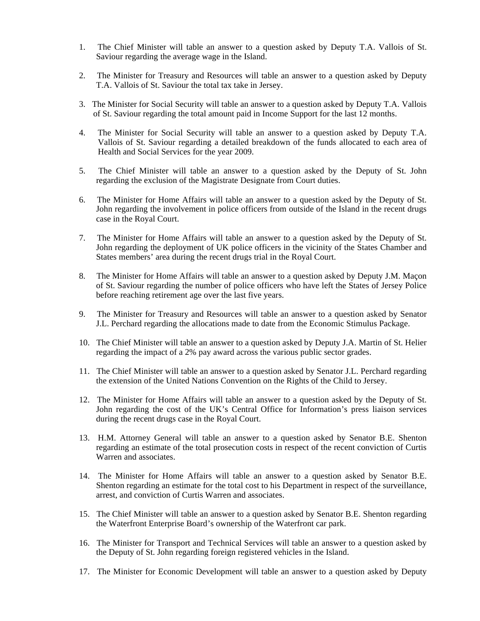- 1. The Chief Minister will table an answer to a question asked by Deputy T.A. Vallois of St. Saviour regarding the average wage in the Island.
- 2. The Minister for Treasury and Resources will table an answer to a question asked by Deputy T.A. Vallois of St. Saviour the total tax take in Jersey.
- 3. The Minister for Social Security will table an answer to a question asked by Deputy T.A. Vallois of St. Saviour regarding the total amount paid in Income Support for the last 12 months.
- 4. The Minister for Social Security will table an answer to a question asked by Deputy T.A. Vallois of St. Saviour regarding a detailed breakdown of the funds allocated to each area of Health and Social Services for the year 2009.
- 5. The Chief Minister will table an answer to a question asked by the Deputy of St. John regarding the exclusion of the Magistrate Designate from Court duties.
- 6. The Minister for Home Affairs will table an answer to a question asked by the Deputy of St. John regarding the involvement in police officers from outside of the Island in the recent drugs case in the Royal Court.
- 7. The Minister for Home Affairs will table an answer to a question asked by the Deputy of St. John regarding the deployment of UK police officers in the vicinity of the States Chamber and States members' area during the recent drugs trial in the Royal Court.
- 8. The Minister for Home Affairs will table an answer to a question asked by Deputy J.M. Maçon of St. Saviour regarding the number of police officers who have left the States of Jersey Police before reaching retirement age over the last five years.
- 9. The Minister for Treasury and Resources will table an answer to a question asked by Senator J.L. Perchard regarding the allocations made to date from the Economic Stimulus Package.
- 10. The Chief Minister will table an answer to a question asked by Deputy J.A. Martin of St. Helier regarding the impact of a 2% pay award across the various public sector grades.
- 11. The Chief Minister will table an answer to a question asked by Senator J.L. Perchard regarding the extension of the United Nations Convention on the Rights of the Child to Jersey.
- 12. The Minister for Home Affairs will table an answer to a question asked by the Deputy of St. John regarding the cost of the UK's Central Office for Information's press liaison services during the recent drugs case in the Royal Court.
- 13. H.M. Attorney General will table an answer to a question asked by Senator B.E. Shenton regarding an estimate of the total prosecution costs in respect of the recent conviction of Curtis Warren and associates.
- 14. The Minister for Home Affairs will table an answer to a question asked by Senator B.E. Shenton regarding an estimate for the total cost to his Department in respect of the surveillance, arrest, and conviction of Curtis Warren and associates.
- 15. The Chief Minister will table an answer to a question asked by Senator B.E. Shenton regarding the Waterfront Enterprise Board's ownership of the Waterfront car park.
- 16. The Minister for Transport and Technical Services will table an answer to a question asked by the Deputy of St. John regarding foreign registered vehicles in the Island.
- 17. The Minister for Economic Development will table an answer to a question asked by Deputy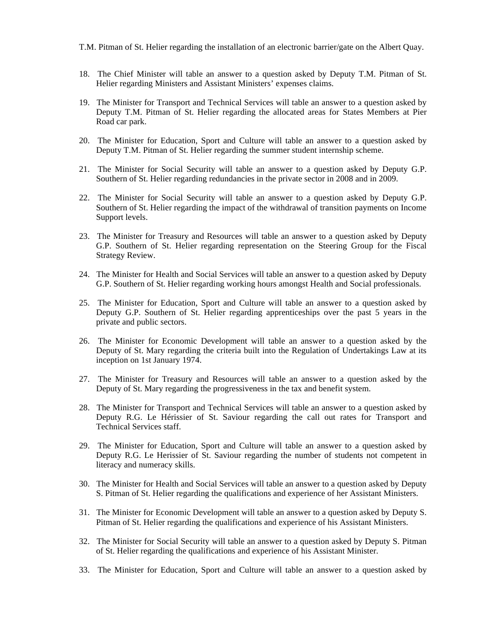T.M. Pitman of St. Helier regarding the installation of an electronic barrier/gate on the Albert Quay.

- 18. The Chief Minister will table an answer to a question asked by Deputy T.M. Pitman of St. Helier regarding Ministers and Assistant Ministers' expenses claims.
- 19. The Minister for Transport and Technical Services will table an answer to a question asked by Deputy T.M. Pitman of St. Helier regarding the allocated areas for States Members at Pier Road car park.
- 20. The Minister for Education, Sport and Culture will table an answer to a question asked by Deputy T.M. Pitman of St. Helier regarding the summer student internship scheme.
- 21. The Minister for Social Security will table an answer to a question asked by Deputy G.P. Southern of St. Helier regarding redundancies in the private sector in 2008 and in 2009.
- 22. The Minister for Social Security will table an answer to a question asked by Deputy G.P. Southern of St. Helier regarding the impact of the withdrawal of transition payments on Income Support levels.
- 23. The Minister for Treasury and Resources will table an answer to a question asked by Deputy G.P. Southern of St. Helier regarding representation on the Steering Group for the Fiscal Strategy Review.
- 24. The Minister for Health and Social Services will table an answer to a question asked by Deputy G.P. Southern of St. Helier regarding working hours amongst Health and Social professionals.
- 25. The Minister for Education, Sport and Culture will table an answer to a question asked by Deputy G.P. Southern of St. Helier regarding apprenticeships over the past 5 years in the private and public sectors.
- 26. The Minister for Economic Development will table an answer to a question asked by the Deputy of St. Mary regarding the criteria built into the Regulation of Undertakings Law at its inception on 1st January 1974.
- 27. The Minister for Treasury and Resources will table an answer to a question asked by the Deputy of St. Mary regarding the progressiveness in the tax and benefit system.
- 28. The Minister for Transport and Technical Services will table an answer to a question asked by Deputy R.G. Le Hérissier of St. Saviour regarding the call out rates for Transport and Technical Services staff.
- 29. The Minister for Education, Sport and Culture will table an answer to a question asked by Deputy R.G. Le Herissier of St. Saviour regarding the number of students not competent in literacy and numeracy skills.
- 30. The Minister for Health and Social Services will table an answer to a question asked by Deputy S. Pitman of St. Helier regarding the qualifications and experience of her Assistant Ministers.
- 31. The Minister for Economic Development will table an answer to a question asked by Deputy S. Pitman of St. Helier regarding the qualifications and experience of his Assistant Ministers.
- 32. The Minister for Social Security will table an answer to a question asked by Deputy S. Pitman of St. Helier regarding the qualifications and experience of his Assistant Minister.
- 33. The Minister for Education, Sport and Culture will table an answer to a question asked by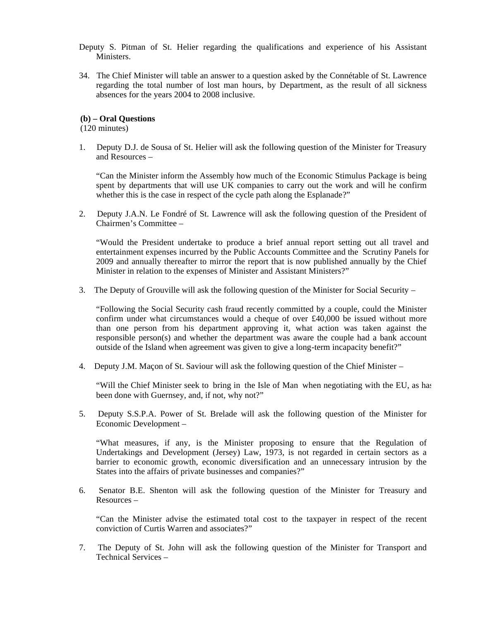- Deputy S. Pitman of St. Helier regarding the qualifications and experience of his Assistant Ministers.
- 34. The Chief Minister will table an answer to a question asked by the Connétable of St. Lawrence regarding the total number of lost man hours, by Department, as the result of all sickness absences for the years 2004 to 2008 inclusive.

#### **(b) – Oral Questions**

(120 minutes)

1. Deputy D.J. de Sousa of St. Helier will ask the following question of the Minister for Treasury and Resources –

"Can the Minister inform the Assembly how much of the Economic Stimulus Package is being spent by departments that will use UK companies to carry out the work and will he confirm whether this is the case in respect of the cycle path along the Esplanade?"

2. Deputy J.A.N. Le Fondré of St. Lawrence will ask the following question of the President of Chairmen's Committee –

"Would the President undertake to produce a brief annual report setting out all travel and entertainment expenses incurred by the Public Accounts Committee and the Scrutiny Panels for 2009 and annually thereafter to mirror the report that is now published annually by the Chief Minister in relation to the expenses of Minister and Assistant Ministers?"

3. The Deputy of Grouville will ask the following question of the Minister for Social Security –

"Following the Social Security cash fraud recently committed by a couple, could the Minister confirm under what circumstances would a cheque of over £40,000 be issued without more than one person from his department approving it, what action was taken against the responsible person(s) and whether the department was aware the couple had a bank account outside of the Island when agreement was given to give a long-term incapacity benefit?"

4. Deputy J.M. Maçon of St. Saviour will ask the following question of the Chief Minister –

"Will the Chief Minister seek to bring in the Isle of Man when negotiating with the EU, as has been done with Guernsey, and, if not, why not?"

5. Deputy S.S.P.A. Power of St. Brelade will ask the following question of the Minister for Economic Development –

"What measures, if any, is the Minister proposing to ensure that the Regulation of Undertakings and Development (Jersey) Law, 1973, is not regarded in certain sectors as a barrier to economic growth, economic diversification and an unnecessary intrusion by the States into the affairs of private businesses and companies?"

6. Senator B.E. Shenton will ask the following question of the Minister for Treasury and Resources –

 "Can the Minister advise the estimated total cost to the taxpayer in respect of the recent conviction of Curtis Warren and associates?"

7. The Deputy of St. John will ask the following question of the Minister for Transport and Technical Services –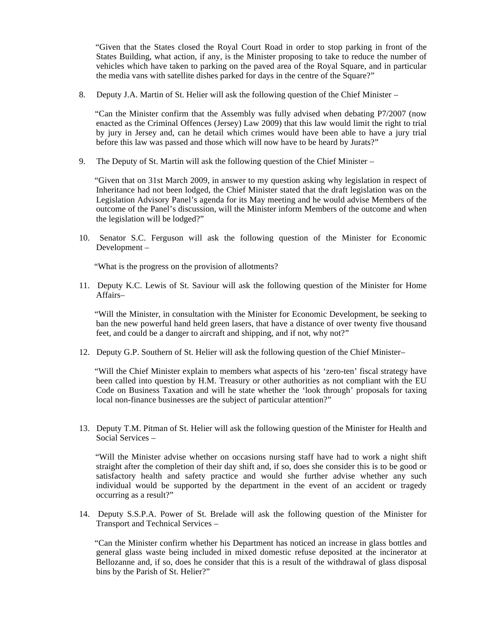"Given that the States closed the Royal Court Road in order to stop parking in front of the States Building, what action, if any, is the Minister proposing to take to reduce the number of vehicles which have taken to parking on the paved area of the Royal Square, and in particular the media vans with satellite dishes parked for days in the centre of the Square?"

8. Deputy J.A. Martin of St. Helier will ask the following question of the Chief Minister –

 "Can the Minister confirm that the Assembly was fully advised when debating P7/2007 (now enacted as the Criminal Offences (Jersey) Law 2009) that this law would limit the right to trial by jury in Jersey and, can he detail which crimes would have been able to have a jury trial before this law was passed and those which will now have to be heard by Jurats?"

9. The Deputy of St. Martin will ask the following question of the Chief Minister –

 "Given that on 31st March 2009, in answer to my question asking why legislation in respect of Inheritance had not been lodged, the Chief Minister stated that the draft legislation was on the Legislation Advisory Panel's agenda for its May meeting and he would advise Members of the outcome of the Panel's discussion, will the Minister inform Members of the outcome and when the legislation will be lodged?"

10. Senator S.C. Ferguson will ask the following question of the Minister for Economic Development –

"What is the progress on the provision of allotments?

11. Deputy K.C. Lewis of St. Saviour will ask the following question of the Minister for Home Affairs–

 "Will the Minister, in consultation with the Minister for Economic Development, be seeking to ban the new powerful hand held green lasers, that have a distance of over twenty five thousand feet, and could be a danger to aircraft and shipping, and if not, why not?"

12. Deputy G.P. Southern of St. Helier will ask the following question of the Chief Minister–

 "Will the Chief Minister explain to members what aspects of his 'zero-ten' fiscal strategy have been called into question by H.M. Treasury or other authorities as not compliant with the EU Code on Business Taxation and will he state whether the 'look through' proposals for taxing local non-finance businesses are the subject of particular attention?"

13. Deputy T.M. Pitman of St. Helier will ask the following question of the Minister for Health and Social Services –

 "Will the Minister advise whether on occasions nursing staff have had to work a night shift straight after the completion of their day shift and, if so, does she consider this is to be good or satisfactory health and safety practice and would she further advise whether any such individual would be supported by the department in the event of an accident or tragedy occurring as a result?"

14. Deputy S.S.P.A. Power of St. Brelade will ask the following question of the Minister for Transport and Technical Services –

 "Can the Minister confirm whether his Department has noticed an increase in glass bottles and general glass waste being included in mixed domestic refuse deposited at the incinerator at Bellozanne and, if so, does he consider that this is a result of the withdrawal of glass disposal bins by the Parish of St. Helier?"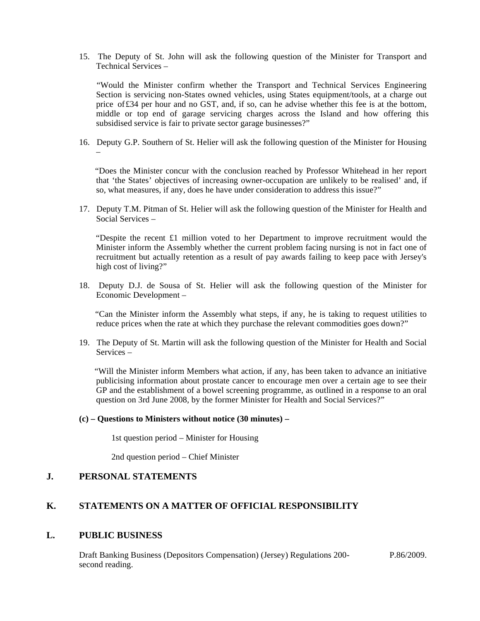15. The Deputy of St. John will ask the following question of the Minister for Transport and Technical Services –

 "Would the Minister confirm whether the Transport and Technical Services Engineering Section is servicing non-States owned vehicles, using States equipment/tools, at a charge out price of£34 per hour and no GST, and, if so, can he advise whether this fee is at the bottom, middle or top end of garage servicing charges across the Island and how offering this subsidised service is fair to private sector garage businesses?"

16. Deputy G.P. Southern of St. Helier will ask the following question of the Minister for Housing –

 "Does the Minister concur with the conclusion reached by Professor Whitehead in her report that 'the States' objectives of increasing owner-occupation are unlikely to be realised' and, if so, what measures, if any, does he have under consideration to address this issue?"

17. Deputy T.M. Pitman of St. Helier will ask the following question of the Minister for Health and Social Services –

 "Despite the recent £1 million voted to her Department to improve recruitment would the Minister inform the Assembly whether the current problem facing nursing is not in fact one of recruitment but actually retention as a result of pay awards failing to keep pace with Jersey's high cost of living?"

18. Deputy D.J. de Sousa of St. Helier will ask the following question of the Minister for Economic Development –

 "Can the Minister inform the Assembly what steps, if any, he is taking to request utilities to reduce prices when the rate at which they purchase the relevant commodities goes down?"

19. The Deputy of St. Martin will ask the following question of the Minister for Health and Social Services –

 "Will the Minister inform Members what action, if any, has been taken to advance an initiative publicising information about prostate cancer to encourage men over a certain age to see their GP and the establishment of a bowel screening programme, as outlined in a response to an oral question on 3rd June 2008, by the former Minister for Health and Social Services?"

#### **(c) – Questions to Ministers without notice (30 minutes) –**

1st question period – Minister for Housing

2nd question period – Chief Minister

### **J. PERSONAL STATEMENTS**

### **K. STATEMENTS ON A MATTER OF OFFICIAL RESPONSIBILITY**

### **L. PUBLIC BUSINESS**

Draft Banking Business (Depositors Compensation) (Jersey) Regulations 200 second reading.

P.86/2009.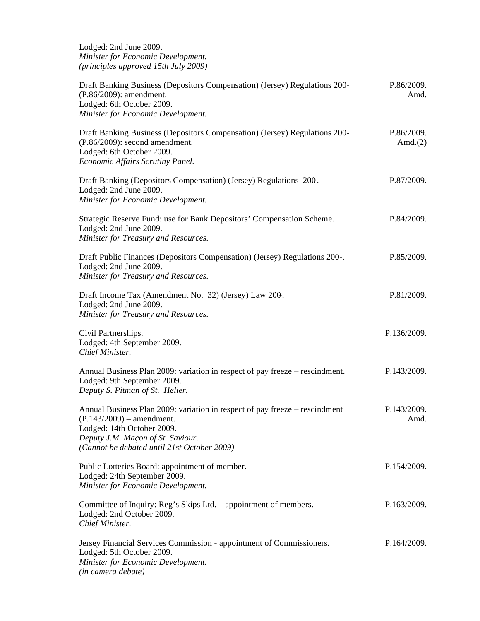Lodged: 2nd June 2009. *Minister for Economic Development. (principles approved 15th July 2009)*

| Draft Banking Business (Depositors Compensation) (Jersey) Regulations 200-<br>(P.86/2009): amendment.<br>Lodged: 6th October 2009.<br>Minister for Economic Development.                                                     | P.86/2009.<br>Amd.       |  |
|------------------------------------------------------------------------------------------------------------------------------------------------------------------------------------------------------------------------------|--------------------------|--|
| Draft Banking Business (Depositors Compensation) (Jersey) Regulations 200-<br>(P.86/2009): second amendment.<br>Lodged: 6th October 2009.<br>Economic Affairs Scrutiny Panel.                                                | P.86/2009.<br>Amd. $(2)$ |  |
| Draft Banking (Depositors Compensation) (Jersey) Regulations 200.<br>Lodged: 2nd June 2009.<br>Minister for Economic Development.                                                                                            | P.87/2009.               |  |
| Strategic Reserve Fund: use for Bank Depositors' Compensation Scheme.<br>Lodged: 2nd June 2009.<br>Minister for Treasury and Resources.                                                                                      | P.84/2009.               |  |
| Draft Public Finances (Depositors Compensation) (Jersey) Regulations 200-.<br>Lodged: 2nd June 2009.<br>Minister for Treasury and Resources.                                                                                 | P.85/2009.               |  |
| Draft Income Tax (Amendment No. 32) (Jersey) Law 200.<br>Lodged: 2nd June 2009.<br>Minister for Treasury and Resources.                                                                                                      | P.81/2009.               |  |
| Civil Partnerships.<br>Lodged: 4th September 2009.<br>Chief Minister.                                                                                                                                                        | P.136/2009.              |  |
| Annual Business Plan 2009: variation in respect of pay freeze – rescindment.<br>Lodged: 9th September 2009.<br>Deputy S. Pitman of St. Helier.                                                                               | P.143/2009.              |  |
| Annual Business Plan 2009: variation in respect of pay freeze - rescindment<br>$(P.143/2009)$ – amendment.<br>Lodged: 14th October 2009.<br>Deputy J.M. Maçon of St. Saviour.<br>(Cannot be debated until 21st October 2009) | P.143/2009.<br>Amd.      |  |
| Public Lotteries Board: appointment of member.<br>Lodged: 24th September 2009.<br>Minister for Economic Development.                                                                                                         | P.154/2009.              |  |
| Committee of Inquiry: Reg's Skips Ltd. – appointment of members.<br>Lodged: 2nd October 2009.<br>Chief Minister.                                                                                                             | P.163/2009.              |  |
| Jersey Financial Services Commission - appointment of Commissioners.<br>Lodged: 5th October 2009.<br>Minister for Economic Development.<br>(in camera debate)                                                                | P.164/2009.              |  |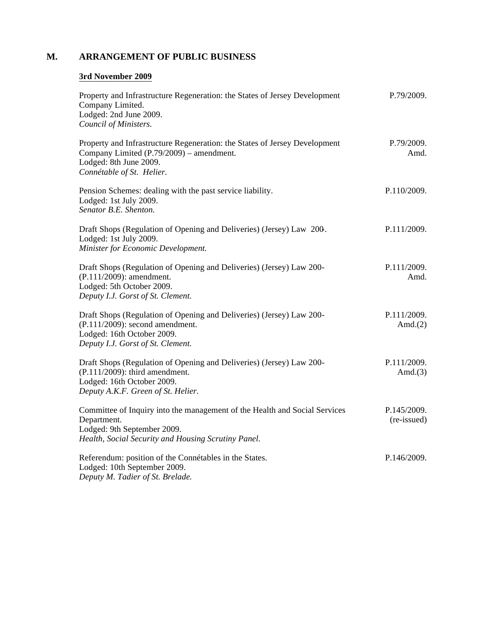## **M. ARRANGEMENT OF PUBLIC BUSINESS**

## **3rd November 2009**

| Property and Infrastructure Regeneration: the States of Jersey Development<br>Company Limited.<br>Lodged: 2nd June 2009.<br>Council of Ministers.                               | P.79/2009.                 |
|---------------------------------------------------------------------------------------------------------------------------------------------------------------------------------|----------------------------|
| Property and Infrastructure Regeneration: the States of Jersey Development<br>Company Limited (P.79/2009) – amendment.<br>Lodged: 8th June 2009.<br>Connétable of St. Helier.   | P.79/2009.<br>Amd.         |
| Pension Schemes: dealing with the past service liability.<br>Lodged: 1st July 2009.<br>Senator B.E. Shenton.                                                                    | P.110/2009.                |
| Draft Shops (Regulation of Opening and Deliveries) (Jersey) Law 200.<br>Lodged: 1st July 2009.<br>Minister for Economic Development.                                            | P.111/2009.                |
| Draft Shops (Regulation of Opening and Deliveries) (Jersey) Law 200-<br>(P.111/2009): amendment.<br>Lodged: 5th October 2009.<br>Deputy I.J. Gorst of St. Clement.              | P.111/2009.<br>Amd.        |
| Draft Shops (Regulation of Opening and Deliveries) (Jersey) Law 200-<br>$(P.111/2009)$ : second amendment.<br>Lodged: 16th October 2009.<br>Deputy I.J. Gorst of St. Clement.   | P.111/2009.<br>Amd. $(2)$  |
| Draft Shops (Regulation of Opening and Deliveries) (Jersey) Law 200-<br>$(P.111/2009)$ : third amendment.<br>Lodged: 16th October 2009.<br>Deputy A.K.F. Green of St. Helier.   | P.111/2009.<br>Amd. $(3)$  |
| Committee of Inquiry into the management of the Health and Social Services<br>Department.<br>Lodged: 9th September 2009.<br>Health, Social Security and Housing Scrutiny Panel. | P.145/2009.<br>(re-issued) |
| Referendum: position of the Connétables in the States.<br>Lodged: 10th September 2009.<br>Deputy M. Tadier of St. Brelade.                                                      | P.146/2009.                |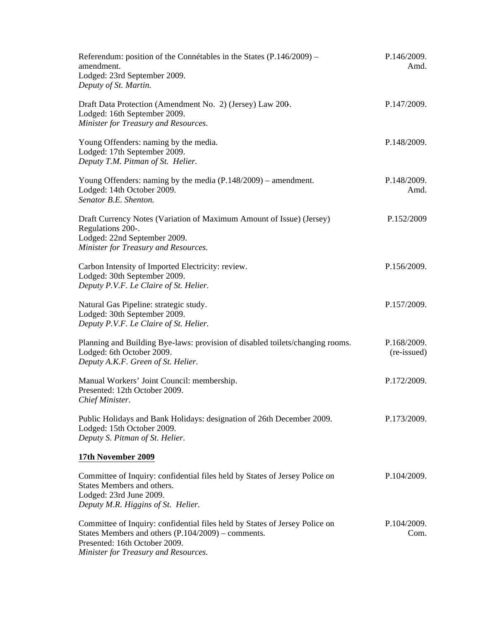| Referendum: position of the Connétables in the States $(P.146/2009)$ –<br>amendment.<br>Lodged: 23rd September 2009.<br>Deputy of St. Martin.                                                                | P.146/2009.<br>Amd.        |  |
|--------------------------------------------------------------------------------------------------------------------------------------------------------------------------------------------------------------|----------------------------|--|
| Draft Data Protection (Amendment No. 2) (Jersey) Law 200.<br>Lodged: 16th September 2009.<br>Minister for Treasury and Resources.                                                                            | P.147/2009.                |  |
| Young Offenders: naming by the media.<br>Lodged: 17th September 2009.<br>Deputy T.M. Pitman of St. Helier.                                                                                                   | P.148/2009.                |  |
| Young Offenders: naming by the media $(P.148/2009)$ – amendment.<br>Lodged: 14th October 2009.<br>Senator B.E. Shenton.                                                                                      | P.148/2009.<br>Amd.        |  |
| Draft Currency Notes (Variation of Maximum Amount of Issue) (Jersey)<br>Regulations 200-.<br>Lodged: 22nd September 2009.<br>Minister for Treasury and Resources.                                            | P.152/2009                 |  |
| Carbon Intensity of Imported Electricity: review.<br>Lodged: 30th September 2009.<br>Deputy P.V.F. Le Claire of St. Helier.                                                                                  | P.156/2009.                |  |
| Natural Gas Pipeline: strategic study.<br>Lodged: 30th September 2009.<br>Deputy P.V.F. Le Claire of St. Helier.                                                                                             | P.157/2009.                |  |
| Planning and Building Bye-laws: provision of disabled toilets/changing rooms.<br>Lodged: 6th October 2009.<br>Deputy A.K.F. Green of St. Helier.                                                             | P.168/2009.<br>(re-issued) |  |
| Manual Workers' Joint Council: membership.<br>Presented: 12th October 2009.<br>Chief Minister.                                                                                                               | P.172/2009.                |  |
| Public Holidays and Bank Holidays: designation of 26th December 2009.<br>Lodged: 15th October 2009.<br>Deputy S. Pitman of St. Helier.                                                                       | P.173/2009.                |  |
| 17th November 2009                                                                                                                                                                                           |                            |  |
| Committee of Inquiry: confidential files held by States of Jersey Police on<br>States Members and others.<br>Lodged: 23rd June 2009.<br>Deputy M.R. Higgins of St. Helier.                                   | P.104/2009.                |  |
| Committee of Inquiry: confidential files held by States of Jersey Police on<br>States Members and others $(P.104/2009)$ – comments.<br>Presented: 16th October 2009.<br>Minister for Treasury and Resources. | P.104/2009.<br>Com.        |  |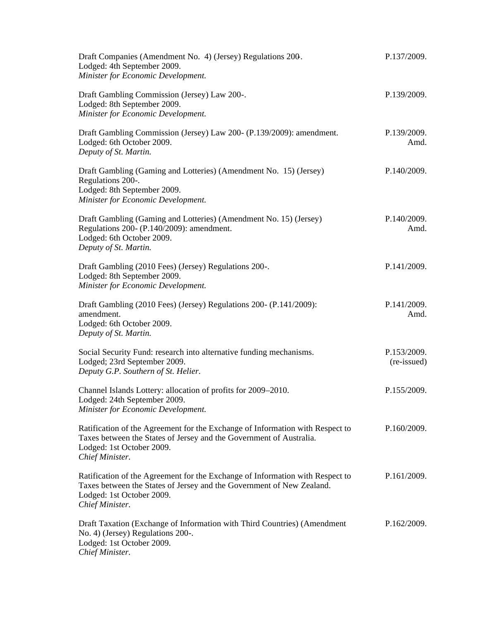| Draft Companies (Amendment No. 4) (Jersey) Regulations 200.<br>Lodged: 4th September 2009.<br>Minister for Economic Development.                                                                       | P.137/2009.                |
|--------------------------------------------------------------------------------------------------------------------------------------------------------------------------------------------------------|----------------------------|
| Draft Gambling Commission (Jersey) Law 200-.<br>Lodged: 8th September 2009.<br>Minister for Economic Development.                                                                                      | P.139/2009.                |
| Draft Gambling Commission (Jersey) Law 200- (P.139/2009): amendment.<br>Lodged: 6th October 2009.<br>Deputy of St. Martin.                                                                             | P.139/2009.<br>Amd.        |
| Draft Gambling (Gaming and Lotteries) (Amendment No. 15) (Jersey)<br>Regulations 200-.<br>Lodged: 8th September 2009.<br>Minister for Economic Development.                                            | P.140/2009.                |
| Draft Gambling (Gaming and Lotteries) (Amendment No. 15) (Jersey)<br>Regulations 200- (P.140/2009): amendment.<br>Lodged: 6th October 2009.<br>Deputy of St. Martin.                                   | P.140/2009.<br>Amd.        |
| Draft Gambling (2010 Fees) (Jersey) Regulations 200-.<br>Lodged: 8th September 2009.<br>Minister for Economic Development.                                                                             | P.141/2009.                |
| Draft Gambling (2010 Fees) (Jersey) Regulations 200- (P.141/2009):<br>amendment.<br>Lodged: 6th October 2009.<br>Deputy of St. Martin.                                                                 | P.141/2009.<br>Amd.        |
| Social Security Fund: research into alternative funding mechanisms.<br>Lodged; 23rd September 2009.<br>Deputy G.P. Southern of St. Helier.                                                             | P.153/2009.<br>(re-issued) |
| Channel Islands Lottery: allocation of profits for 2009–2010.<br>Lodged: 24th September 2009.<br>Minister for Economic Development.                                                                    | P.155/2009.                |
| Ratification of the Agreement for the Exchange of Information with Respect to<br>Taxes between the States of Jersey and the Government of Australia.<br>Lodged: 1st October 2009.<br>Chief Minister.   | P.160/2009.                |
| Ratification of the Agreement for the Exchange of Information with Respect to<br>Taxes between the States of Jersey and the Government of New Zealand.<br>Lodged: 1st October 2009.<br>Chief Minister. | P.161/2009.                |
| Draft Taxation (Exchange of Information with Third Countries) (Amendment<br>No. 4) (Jersey) Regulations 200-.<br>Lodged: 1st October 2009.<br>Chief Minister.                                          | P.162/2009.                |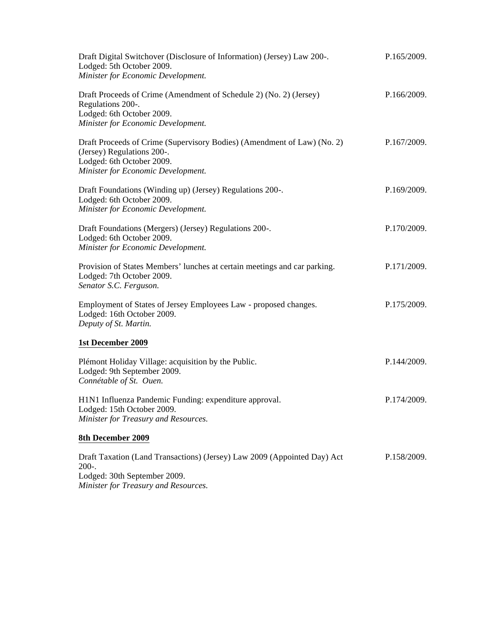| Draft Digital Switchover (Disclosure of Information) (Jersey) Law 200-.<br>Lodged: 5th October 2009.<br>Minister for Economic Development.                               | P.165/2009. |
|--------------------------------------------------------------------------------------------------------------------------------------------------------------------------|-------------|
| Draft Proceeds of Crime (Amendment of Schedule 2) (No. 2) (Jersey)<br>Regulations 200-.<br>Lodged: 6th October 2009.<br>Minister for Economic Development.               | P.166/2009. |
| Draft Proceeds of Crime (Supervisory Bodies) (Amendment of Law) (No. 2)<br>(Jersey) Regulations 200-.<br>Lodged: 6th October 2009.<br>Minister for Economic Development. | P.167/2009. |
| Draft Foundations (Winding up) (Jersey) Regulations 200-.<br>Lodged: 6th October 2009.<br>Minister for Economic Development.                                             | P.169/2009. |
| Draft Foundations (Mergers) (Jersey) Regulations 200-.<br>Lodged: 6th October 2009.<br>Minister for Economic Development.                                                | P.170/2009. |
| Provision of States Members' lunches at certain meetings and car parking.<br>Lodged: 7th October 2009.<br>Senator S.C. Ferguson.                                         | P.171/2009. |
| Employment of States of Jersey Employees Law - proposed changes.<br>Lodged: 16th October 2009.<br>Deputy of St. Martin.                                                  | P.175/2009. |
| <b>1st December 2009</b>                                                                                                                                                 |             |
| Plémont Holiday Village: acquisition by the Public.<br>Lodged: 9th September 2009.<br>Connétable of St. Ouen.                                                            | P.144/2009. |
| H1N1 Influenza Pandemic Funding: expenditure approval.<br>Lodged: 15th October 2009.<br>Minister for Treasury and Resources.                                             | P.174/2009. |
| 8th December 2009                                                                                                                                                        |             |
| Draft Taxation (Land Transactions) (Jersey) Law 2009 (Appointed Day) Act<br>$200-.$<br>0000                                                                              | P.158/2009. |

Lodged: 30th September 2009. *Minister for Treasury and Resources.*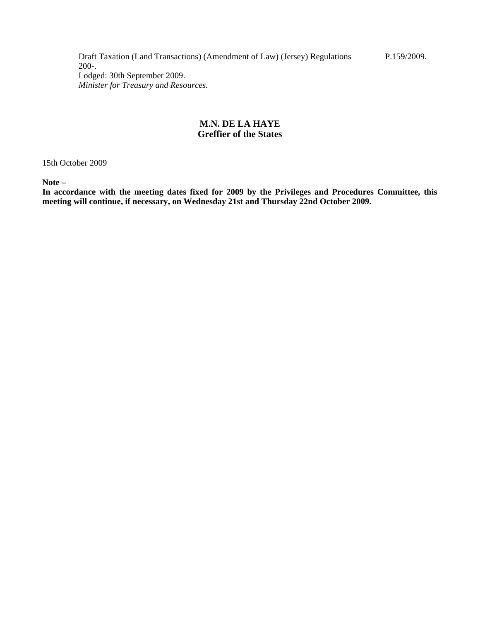Draft Taxation (Land Transactions) (Amendment of Law) (Jersey) Regulations 200-. Lodged: 30th September 2009. *Minister for Treasury and Resources.*

### **M.N. DE LA HAYE Greffier of the States**

15th October 2009

**Note –**

**In accordance with the meeting dates fixed for 2009 by the Privileges and Procedures Committee, this meeting will continue, if necessary, on Wednesday 21st and Thursday 22nd October 2009.**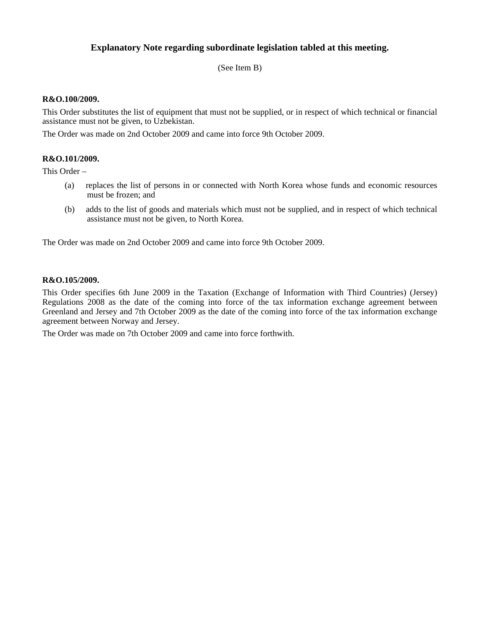## **Explanatory Note regarding subordinate legislation tabled at this meeting.**

(See Item B)

### **R&O.100/2009.**

This Order substitutes the list of equipment that must not be supplied, or in respect of which technical or financial assistance must not be given, to Uzbekistan.

The Order was made on 2nd October 2009 and came into force 9th October 2009.

### **R&O.101/2009.**

This Order –

- (a) replaces the list of persons in or connected with North Korea whose funds and economic resources must be frozen; and
- (b) adds to the list of goods and materials which must not be supplied, and in respect of which technical assistance must not be given, to North Korea.

The Order was made on 2nd October 2009 and came into force 9th October 2009.

#### **R&O.105/2009.**

This Order specifies 6th June 2009 in the Taxation (Exchange of Information with Third Countries) (Jersey) Regulations 2008 as the date of the coming into force of the tax information exchange agreement between Greenland and Jersey and 7th October 2009 as the date of the coming into force of the tax information exchange agreement between Norway and Jersey.

The Order was made on 7th October 2009 and came into force forthwith.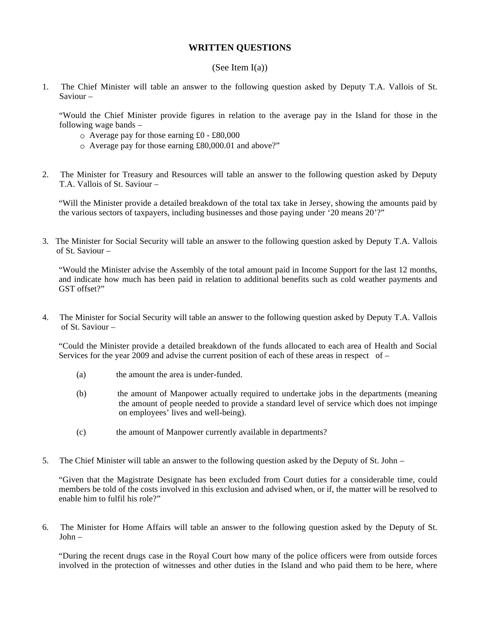### **WRITTEN QUESTIONS**

#### (See Item I(a))

1. The Chief Minister will table an answer to the following question asked by Deputy T.A. Vallois of St. Saviour –

 "Would the Chief Minister provide figures in relation to the average pay in the Island for those in the following wage bands –

- Average pay for those earning £0 £80,000
- Average pay for those earning £80,000.01 and above?"
- 2. The Minister for Treasury and Resources will table an answer to the following question asked by Deputy T.A. Vallois of St. Saviour –

"Will the Minister provide a detailed breakdown of the total tax take in Jersey, showing the amounts paid by the various sectors of taxpayers, including businesses and those paying under '20 means 20'?"

3. The Minister for Social Security will table an answer to the following question asked by Deputy T.A. Vallois of St. Saviour –

"Would the Minister advise the Assembly of the total amount paid in Income Support for the last 12 months, and indicate how much has been paid in relation to additional benefits such as cold weather payments and GST offset?"

4. The Minister for Social Security will table an answer to the following question asked by Deputy T.A. Vallois of St. Saviour –

"Could the Minister provide a detailed breakdown of the funds allocated to each area of Health and Social Services for the year 2009 and advise the current position of each of these areas in respect of  $-$ 

- (a) the amount the area is under-funded.
- (b) the amount of Manpower actually required to undertake jobs in the departments (meaning the amount of people needed to provide a standard level of service which does not impinge on employees' lives and well-being).
- (c) the amount of Manpower currently available in departments?
- 5. The Chief Minister will table an answer to the following question asked by the Deputy of St. John –

"Given that the Magistrate Designate has been excluded from Court duties for a considerable time, could members be told of the costs involved in this exclusion and advised when, or if, the matter will be resolved to enable him to fulfil his role?"

6. The Minister for Home Affairs will table an answer to the following question asked by the Deputy of St. John –

"During the recent drugs case in the Royal Court how many of the police officers were from outside forces involved in the protection of witnesses and other duties in the Island and who paid them to be here, where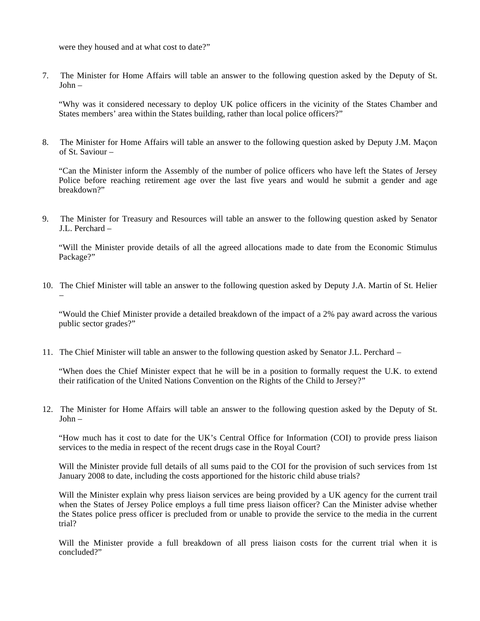were they housed and at what cost to date?"

7. The Minister for Home Affairs will table an answer to the following question asked by the Deputy of St. John –

"Why was it considered necessary to deploy UK police officers in the vicinity of the States Chamber and States members' area within the States building, rather than local police officers?"

8. The Minister for Home Affairs will table an answer to the following question asked by Deputy J.M. Maçon of St. Saviour –

"Can the Minister inform the Assembly of the number of police officers who have left the States of Jersey Police before reaching retirement age over the last five years and would he submit a gender and age breakdown?"

9. The Minister for Treasury and Resources will table an answer to the following question asked by Senator J.L. Perchard –

"Will the Minister provide details of all the agreed allocations made to date from the Economic Stimulus Package?"

10. The Chief Minister will table an answer to the following question asked by Deputy J.A. Martin of St. Helier –

"Would the Chief Minister provide a detailed breakdown of the impact of a 2% pay award across the various public sector grades?"

11. The Chief Minister will table an answer to the following question asked by Senator J.L. Perchard –

"When does the Chief Minister expect that he will be in a position to formally request the U.K. to extend their ratification of the United Nations Convention on the Rights of the Child to Jersey?"

12. The Minister for Home Affairs will table an answer to the following question asked by the Deputy of St. John –

"How much has it cost to date for the UK's Central Office for Information (COI) to provide press liaison services to the media in respect of the recent drugs case in the Royal Court?

Will the Minister provide full details of all sums paid to the COI for the provision of such services from 1st January 2008 to date, including the costs apportioned for the historic child abuse trials?

Will the Minister explain why press liaison services are being provided by a UK agency for the current trail when the States of Jersey Police employs a full time press liaison officer? Can the Minister advise whether the States police press officer is precluded from or unable to provide the service to the media in the current trial?

Will the Minister provide a full breakdown of all press liaison costs for the current trial when it is concluded?"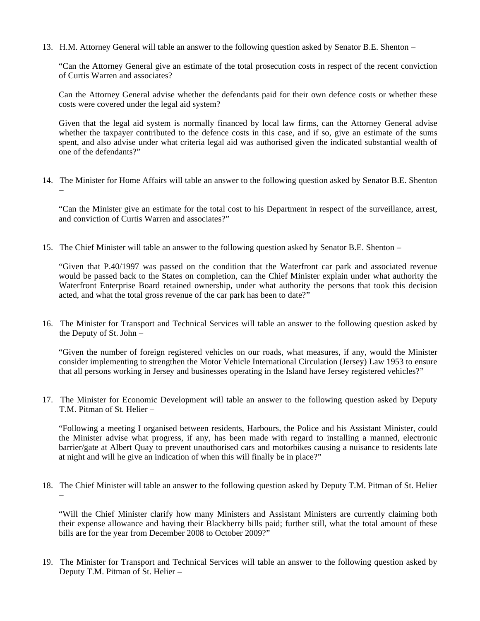13. H.M. Attorney General will table an answer to the following question asked by Senator B.E. Shenton –

"Can the Attorney General give an estimate of the total prosecution costs in respect of the recent conviction of Curtis Warren and associates?

Can the Attorney General advise whether the defendants paid for their own defence costs or whether these costs were covered under the legal aid system?

Given that the legal aid system is normally financed by local law firms, can the Attorney General advise whether the taxpayer contributed to the defence costs in this case, and if so, give an estimate of the sums spent, and also advise under what criteria legal aid was authorised given the indicated substantial wealth of one of the defendants?"

14. The Minister for Home Affairs will table an answer to the following question asked by Senator B.E. Shenton –

"Can the Minister give an estimate for the total cost to his Department in respect of the surveillance, arrest, and conviction of Curtis Warren and associates?"

15. The Chief Minister will table an answer to the following question asked by Senator B.E. Shenton –

"Given that P.40/1997 was passed on the condition that the Waterfront car park and associated revenue would be passed back to the States on completion, can the Chief Minister explain under what authority the Waterfront Enterprise Board retained ownership, under what authority the persons that took this decision acted, and what the total gross revenue of the car park has been to date?"

16. The Minister for Transport and Technical Services will table an answer to the following question asked by the Deputy of St. John –

"Given the number of foreign registered vehicles on our roads, what measures, if any, would the Minister consider implementing to strengthen the Motor Vehicle International Circulation (Jersey) Law 1953 to ensure that all persons working in Jersey and businesses operating in the Island have Jersey registered vehicles?"

17. The Minister for Economic Development will table an answer to the following question asked by Deputy T.M. Pitman of St. Helier –

"Following a meeting I organised between residents, Harbours, the Police and his Assistant Minister, could the Minister advise what progress, if any, has been made with regard to installing a manned, electronic barrier/gate at Albert Quay to prevent unauthorised cars and motorbikes causing a nuisance to residents late at night and will he give an indication of when this will finally be in place?"

18. The Chief Minister will table an answer to the following question asked by Deputy T.M. Pitman of St. Helier –

"Will the Chief Minister clarify how many Ministers and Assistant Ministers are currently claiming both their expense allowance and having their Blackberry bills paid; further still, what the total amount of these bills are for the year from December 2008 to October 2009?"

19. The Minister for Transport and Technical Services will table an answer to the following question asked by Deputy T.M. Pitman of St. Helier –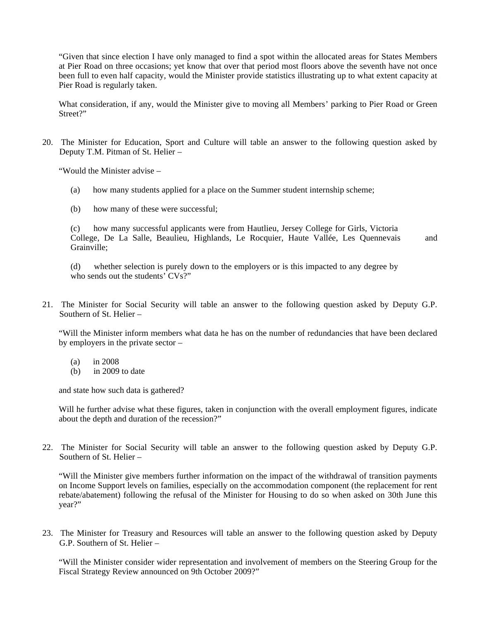"Given that since election I have only managed to find a spot within the allocated areas for States Members at Pier Road on three occasions; yet know that over that period most floors above the seventh have not once been full to even half capacity, would the Minister provide statistics illustrating up to what extent capacity at Pier Road is regularly taken.

What consideration, if any, would the Minister give to moving all Members' parking to Pier Road or Green Street?"

20. The Minister for Education, Sport and Culture will table an answer to the following question asked by Deputy T.M. Pitman of St. Helier –

"Would the Minister advise –

- (a) how many students applied for a place on the Summer student internship scheme;
- (b) how many of these were successful;

(c) how many successful applicants were from Hautlieu, Jersey College for Girls, Victoria College, De La Salle, Beaulieu, Highlands, Le Rocquier, Haute Vallée, Les Quennevais and Grainville;

(d) whether selection is purely down to the employers or is this impacted to any degree by who sends out the students' CVs?"

21. The Minister for Social Security will table an answer to the following question asked by Deputy G.P. Southern of St. Helier –

"Will the Minister inform members what data he has on the number of redundancies that have been declared by employers in the private sector –

- (a) in 2008
- (b) in 2009 to date

and state how such data is gathered?

Will he further advise what these figures, taken in conjunction with the overall employment figures, indicate about the depth and duration of the recession?"

22. The Minister for Social Security will table an answer to the following question asked by Deputy G.P. Southern of St. Helier –

"Will the Minister give members further information on the impact of the withdrawal of transition payments on Income Support levels on families, especially on the accommodation component (the replacement for rent rebate/abatement) following the refusal of the Minister for Housing to do so when asked on 30th June this year?"

23. The Minister for Treasury and Resources will table an answer to the following question asked by Deputy G.P. Southern of St. Helier –

"Will the Minister consider wider representation and involvement of members on the Steering Group for the Fiscal Strategy Review announced on 9th October 2009?"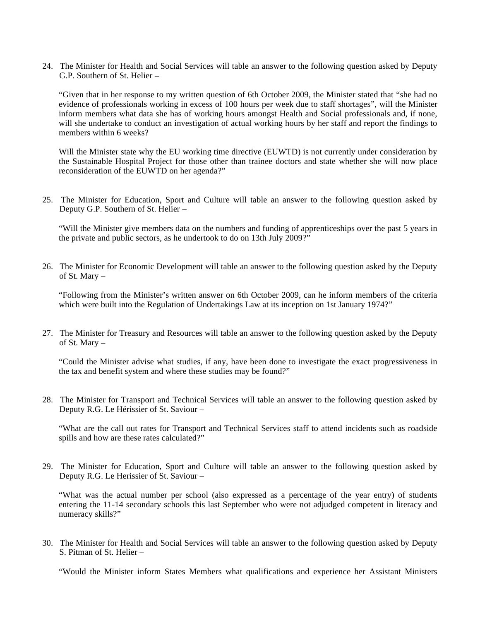24. The Minister for Health and Social Services will table an answer to the following question asked by Deputy G.P. Southern of St. Helier –

"Given that in her response to my written question of 6th October 2009, the Minister stated that "she had no evidence of professionals working in excess of 100 hours per week due to staff shortages", will the Minister inform members what data she has of working hours amongst Health and Social professionals and, if none, will she undertake to conduct an investigation of actual working hours by her staff and report the findings to members within 6 weeks?

Will the Minister state why the EU working time directive (EUWTD) is not currently under consideration by the Sustainable Hospital Project for those other than trainee doctors and state whether she will now place reconsideration of the EUWTD on her agenda?"

25. The Minister for Education, Sport and Culture will table an answer to the following question asked by Deputy G.P. Southern of St. Helier –

"Will the Minister give members data on the numbers and funding of apprenticeships over the past 5 years in the private and public sectors, as he undertook to do on 13th July 2009?"

26. The Minister for Economic Development will table an answer to the following question asked by the Deputy of St. Mary –

"Following from the Minister's written answer on 6th October 2009, can he inform members of the criteria which were built into the Regulation of Undertakings Law at its inception on 1st January 1974?"

27. The Minister for Treasury and Resources will table an answer to the following question asked by the Deputy of St. Mary –

"Could the Minister advise what studies, if any, have been done to investigate the exact progressiveness in the tax and benefit system and where these studies may be found?"

28. The Minister for Transport and Technical Services will table an answer to the following question asked by Deputy R.G. Le Hérissier of St. Saviour –

"What are the call out rates for Transport and Technical Services staff to attend incidents such as roadside spills and how are these rates calculated?"

29. The Minister for Education, Sport and Culture will table an answer to the following question asked by Deputy R.G. Le Herissier of St. Saviour –

"What was the actual number per school (also expressed as a percentage of the year entry) of students entering the 11-14 secondary schools this last September who were not adjudged competent in literacy and numeracy skills?"

30. The Minister for Health and Social Services will table an answer to the following question asked by Deputy S. Pitman of St. Helier –

"Would the Minister inform States Members what qualifications and experience her Assistant Ministers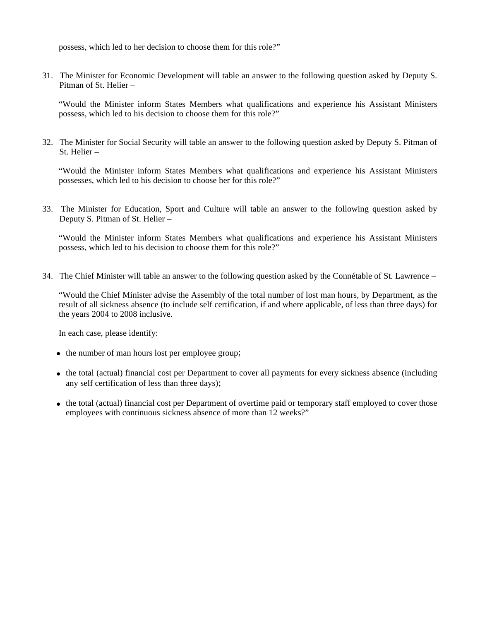possess, which led to her decision to choose them for this role?"

31. The Minister for Economic Development will table an answer to the following question asked by Deputy S. Pitman of St. Helier –

"Would the Minister inform States Members what qualifications and experience his Assistant Ministers possess, which led to his decision to choose them for this role?"

32. The Minister for Social Security will table an answer to the following question asked by Deputy S. Pitman of St. Helier –

"Would the Minister inform States Members what qualifications and experience his Assistant Ministers possesses, which led to his decision to choose her for this role?"

33. The Minister for Education, Sport and Culture will table an answer to the following question asked by Deputy S. Pitman of St. Helier –

"Would the Minister inform States Members what qualifications and experience his Assistant Ministers possess, which led to his decision to choose them for this role?"

34. The Chief Minister will table an answer to the following question asked by the Connétable of St. Lawrence –

"Would the Chief Minister advise the Assembly of the total number of lost man hours, by Department, as the result of all sickness absence (to include self certification, if and where applicable, of less than three days) for the years 2004 to 2008 inclusive.

In each case, please identify:

- the number of man hours lost per employee group;
- the total (actual) financial cost per Department to cover all payments for every sickness absence (including any self certification of less than three days);
- the total (actual) financial cost per Department of overtime paid or temporary staff employed to cover those employees with continuous sickness absence of more than 12 weeks?"